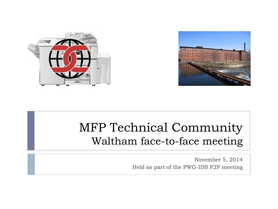



#### MFP Technical Community Waltham face-to-face meeting

November 5, 2014 Held as part of the PWG-IDS F2F meeting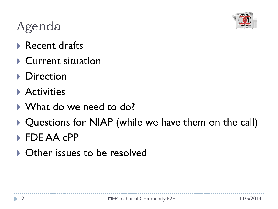

# Agenda

- Recent drafts
- ▶ Current situation
- **Direction**
- **Activities**
- ▶ What do we need to do?
- ▶ Questions for NIAP (while we have them on the call)
- ▶ FDE AA cPP
- ▶ Other issues to be resolved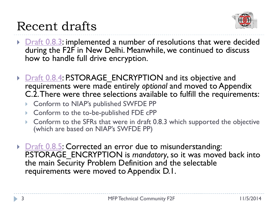

#### Recent drafts

- $\triangleright$  [Draft 0.8.3](https://ccusersforum.onlyoffice.com/products/files/doceditor.aspx?fileid=3894905): implemented a number of resolutions that were decided during the F2F in New Delhi. Meanwhile, we continued to discuss how to handle full drive encryption.
- ▶ [Draft 0.8.4](https://ccusersforum.onlyoffice.com/products/files/doceditor.aspx?fileid=3939368): P.STORAGE\_ENCRYPTION and its objective and requirements were made entirely *optional* and moved to Appendix C.2. There were three selections available to fulfill the requirements:
	- ▶ Conform to NIAP's published SWFDE PP
	- ▶ Conform to the to-be-published FDE cPP
	- ▶ Conform to the SFRs that were in draft 0.8.3 which supported the objective (which are based on NIAP's SWFDE PP)
- ▶ **[Draft 0.8.5](https://ccusersforum.onlyoffice.com/products/files/doceditor.aspx?fileid=3972540):** Corrected an error due to misunderstanding: P.STORAGE\_ENCRYPTION is *mandatory*, so it was moved back into the main Security Problem Definition and the selectable requirements were moved to Appendix D.1.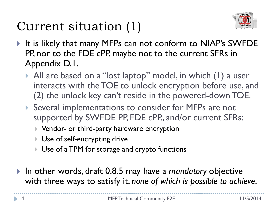## Current situation (1)



- It is likely that many MFPs can not conform to NIAP's SWFDE PP, nor to the FDE cPP, maybe not to the current SFRs in Appendix D.1.
	- All are based on a "lost laptop" model, in which (1) a user interacts with the TOE to unlock encryption before use, and (2) the unlock key can't reside in the powered-down TOE.
	- ▶ Several implementations to consider for MFPs are not supported by SWFDE PP, FDE cPP., and/or current SFRs:
		- ▶ Vendor- or third-party hardware encryption
		- Use of self-encrypting drive
		- Use of a TPM for storage and crypto functions
- In other words, draft 0.8.5 may have a *mandatory* objective with three ways to satisfy it, *none of which is possible to achieve*.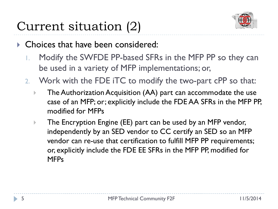# Current situation (2)



- ▶ Choices that have been considered:
	- 1. Modify the SWFDE PP-based SFRs in the MFP PP so they can be used in a variety of MFP implementations; or,
	- 2. Work with the FDE iTC to modify the two-part cPP so that:
		- The Authorization Acquisition (AA) part can accommodate the use case of an MFP; or; explicitly include the FDE AA SFRs in the MFP PP, modified for MFPs
		- **The Encryption Engine (EE) part can be used by an MFP vendor,** independently by an SED vendor to CC certify an SED so an MFP vendor can re-use that certification to fulfill MFP PP requirements; or, explicitly include the FDE EE SFRs in the MFP PP, modified for MFPs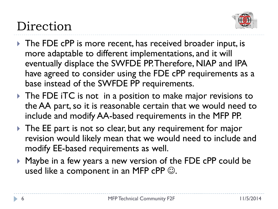

# Direction

- ▶ The FDE cPP is more recent, has received broader input, is more adaptable to different implementations, and it will eventually displace the SWFDE PP. Therefore, NIAP and IPA have agreed to consider using the FDE cPP requirements as a base instead of the SWFDE PP requirements.
- The FDE iTC is not in a position to make major revisions to the AA part, so it is reasonable certain that we would need to include and modify AA-based requirements in the MFP PP.
- The EE part is not so clear, but any requirement for major revision would likely mean that we would need to include and modify EE-based requirements as well.
- ▶ Maybe in a few years a new version of the FDE cPP could be used like a component in an MFP cPP  $\odot$ .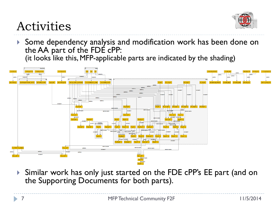

### Activities

 Some dependency analysis and modification work has been done on the AA part of the FDE cPP: (it looks like this, MFP-applicable parts are indicated by the shading)



 Similar work has only just started on the FDE cPP's EE part (and on the Supporting Documents for both parts).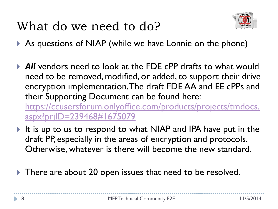

As questions of NIAP (while we have Lonnie on the phone)

- *All* vendors need to look at the FDE cPP drafts to what would need to be removed, modified, or added, to support their drive encryption implementation. The draft FDE AA and EE cPPs and their Supporting Document can be found here: [https://ccusersforum.onlyoffice.com/products/projects/tmdocs.](https://ccusersforum.onlyoffice.com/products/projects/tmdocs.aspx?prjID=239468%231675079) [aspx?prjID=239468#1675079](https://ccusersforum.onlyoffice.com/products/projects/tmdocs.aspx?prjID=239468%231675079)
- It is up to us to respond to what NIAP and IPA have put in the draft PP, especially in the areas of encryption and protocols. Otherwise, whatever is there will become the new standard.
- There are about 20 open issues that need to be resolved.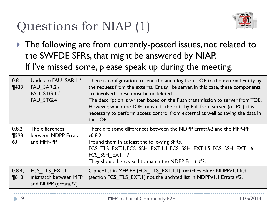# Questions for NIAP (1)



▶ The following are from currently-posted issues, not related to the SWFDE SFRs, that might be answered by NIAP. If I've missed some, please speak up during the meeting.

| 0.8.1<br>$\P$ 433          | Undelete FAU SAR.I/<br>FAU SAR.2/<br>FAU STG.I/<br>FAU STG.4 | There is configuration to send the audit log from TOE to the external Entity by<br>the request from the external Entity like server. In this case, these components<br>are involved. These must be undeleted.<br>The description is written based on the Push transmission to server from TOE.<br>However, when the TOE transmits the data by Pull from server (or PC), it is<br>necessary to perform access control from external as well as saving the data in<br>the TOE. |
|----------------------------|--------------------------------------------------------------|------------------------------------------------------------------------------------------------------------------------------------------------------------------------------------------------------------------------------------------------------------------------------------------------------------------------------------------------------------------------------------------------------------------------------------------------------------------------------|
| 0.8.2<br>$\P$ 598-<br>63 I | The differences<br>between NDPP Errata<br>and MFP-PP         | There are some differences between the NDPP Errata#2 and the MFP-PP<br>v0.8.2.<br>I found them in at least the following SFRs.<br>FCS TLS EXT.I, FCS SSH EXT.I.I, FCS SSH EXT.I.5, FCS SSH EXT.I.6,<br>FCS SSH EXT.I.7.<br>They should be revised to match the NDPP Errata#2.                                                                                                                                                                                                |
| 0.8.4,<br>$\P610$          | FCS TLS EXT.I<br>mismatch between MFP<br>and NDPP (errata#2) | Cipher list in MFP-PP (FCS TLS EXT.I.I) matches older NDPPv1.1 list<br>(section FCS TLS EXT.1) not the updated list in NDPPv1.1 Errata #2.                                                                                                                                                                                                                                                                                                                                   |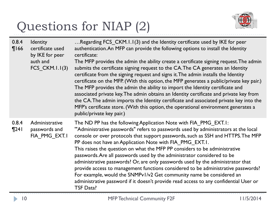# Questions for NIAP (2)



| 0.8.4<br>$\P$ 166  | Identity<br>certificate used<br>by IKE for peer<br>auth and<br>FCS CKM.I.I $(3)$ | Regarding FCS CKM. 1.1(3) and the Identity certificate used by IKE for peer<br>authentication. An MFP can provide the following options to install the Identity<br>certificate:<br>The MFP provides the admin the ability create a certificate signing request. The admin<br>submits the certificate signing request to the CA. The CA generates an Identity<br>certificate from the signing request and signs it. The admin installs the Identity<br>certificate on the MFP. (With this option, the MFP generates a public/private key pair.)<br>The MFP provides the admin the ability to import the Identity certificate and<br>associated private key. The admin obtains an Identity certificate and private key from<br>the CA. The admin imports the Identity certificate and associated private key into the<br>MFP's certificate store. (With this option, the operational environment generates a<br>public/private key pair.) |
|--------------------|----------------------------------------------------------------------------------|-----------------------------------------------------------------------------------------------------------------------------------------------------------------------------------------------------------------------------------------------------------------------------------------------------------------------------------------------------------------------------------------------------------------------------------------------------------------------------------------------------------------------------------------------------------------------------------------------------------------------------------------------------------------------------------------------------------------------------------------------------------------------------------------------------------------------------------------------------------------------------------------------------------------------------------------|
| 0.8.4<br>$\P$ 24 l | Administrative<br>passwords and<br>FIA PMG EXT.I                                 | The ND PP has the following Application Note with FIA_PMG_EXT.1:<br>"Administrative passwords" refers to passwords used by administrators at the local<br>console or over protocols that support passwords, such as SSH and HTTPS. The MFP<br>PP does not have an Application Note with FIA PMG EXT.I.<br>This raises the question on what the MFP PP considers to be administrative<br>passwords. Are all passwords used by the administrator considered to be<br>administrative passwords? Or, are only passwords used by the administrator that<br>provide access to management functions considered to be administrative passwords?<br>For example, would the SNMPv1/v2 Get community name be considered an<br>administrative password if it doesn't provide read access to any confidential User or<br><b>TSF Data?</b>                                                                                                            |

Þ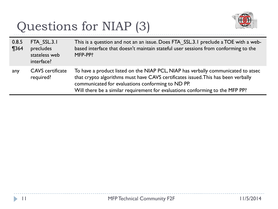# Questions for NIAP (3)



| 0.8.5<br>$\P$ 364 | FTA SSL.3.1<br>precludes<br>stateless web<br>interface? | This is a question and not an an issue. Does FTA SSL.3.1 preclude a TOE with a web-<br>based interface that doesn't maintain stateful user sessions from conforming to the<br>MFP-PP?                                                                                                                        |
|-------------------|---------------------------------------------------------|--------------------------------------------------------------------------------------------------------------------------------------------------------------------------------------------------------------------------------------------------------------------------------------------------------------|
| any               | <b>CAVS</b> certificate<br>required?                    | To have a product listed on the NIAP PCL, NIAP has verbally communicated to atsec<br>that crypto algorithms must have CAVS certificates issued. This has been verbally<br>communicated for evaluations conforming to ND PP.<br>Will there be a similar requirement for evaluations conforming to the MFP PP? |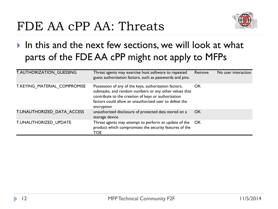### FDE AA cPP AA: Threats



#### In this and the next few sections, we will look at what parts of the FDE AA cPP might not apply to MFPs

| T.AUTHORIZATION GUESSING     | Threat agents may exercise host software to repeated<br>guess authorization factors, such as passwords and pins.                                                                                                                              | Remove | No user interaction |
|------------------------------|-----------------------------------------------------------------------------------------------------------------------------------------------------------------------------------------------------------------------------------------------|--------|---------------------|
| T.KEYING MATERIAL COMPROMISE | Possession of any of the keys, authorization factors,<br>submasks, and random numbers or any other values that<br>contribute to the creation of keys or authorization<br>factors could allow an unauthorized user to defeat the<br>encryption | OK     |                     |
| T.UNAUTHORIZED DATA ACCESS   | unauthorized disclosure of protected data stored on a<br>storage device                                                                                                                                                                       | OK.    |                     |
| T.UNAUTHORIZED UPDATE        | Threat agents may attempt to perform an update of the<br>product which compromises the security features of the<br><b>TOE</b>                                                                                                                 | OK.    |                     |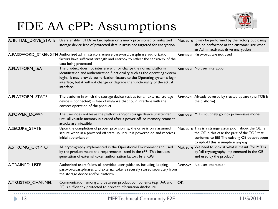### FDE AA cPP: Assumptions



| A. INITIAL_DRIVE_STATE | Users enable Full Drive Encryption on a newly provisioned or initialized<br>storage device free of protected data in areas not targeted for encryption                                                                                                                                                                         |    | Not sure It may be performed by the factory but it may<br>also be performed at the customer site when<br>an Admin activates drive encryption                                                |
|------------------------|--------------------------------------------------------------------------------------------------------------------------------------------------------------------------------------------------------------------------------------------------------------------------------------------------------------------------------|----|---------------------------------------------------------------------------------------------------------------------------------------------------------------------------------------------|
|                        | A.PASSWORD STRENGTH Authorized administrators ensure password/passphrase authorization<br>factors have sufficient strength and entropy to reflect the sensitivity of the<br>data being protected                                                                                                                               |    | Remove Passwords are not used                                                                                                                                                               |
| A.PLATFORM I&A         | The product does not interfere with or change the normal platform<br>identification and authentication functionality such as the operating system<br>login. It may provide authorization factors to the Operating system's login<br>interface, but it will not change or degrade the functionality of the actual<br>interface. |    | Remove No user interaction                                                                                                                                                                  |
| A.PLATFORM_STATE       | The platform in which the storage device resides (or an external storage<br>device is connected) is free of malware that could interfere with the<br>correct operation of the product                                                                                                                                          |    | Remove Already covered by trusted update (the TOE is<br>the platform)                                                                                                                       |
| A.POWER DOWN           | The user does not leave the platform and/or storage device unattended<br>until all volatile memory is cleared after a power-off, so memory remnant<br>attacks are infeasible                                                                                                                                                   |    | Remove MFPs routinely go into power-save modes                                                                                                                                              |
| A.SECURE STATE         | Upon the completion of proper provisioning, the drive is only assumed<br>secure when in a powered off state up until it is powered on and receives<br>initial authorization                                                                                                                                                    |    | Not sure This is a strange assumption about the OE. Is<br>the OE in this case the part of the TOE that<br>conforms to EE? The existing OE doesn't seem<br>to uphold this assumption anyway. |
| A.STRONG CRYPTO        | All cryptography implemented in the Operational Environment and used<br>by the product meets the requirements listed in the cPP. This includes<br>generation of external token authorization factors by a RBG                                                                                                                  |    | Not sure We need to look at what is meant (for MFPs)<br>by "all cryptography implemented in the OE<br>and used by the product"                                                              |
| A.TRAINED USER         | Authorized users follow all provided user guidance, including keeping<br>password/passphrases and external tokens securely stored separately from<br>the storage device and/or platform                                                                                                                                        |    | Remove No user interaction                                                                                                                                                                  |
| A.TRUSTED_CHANNEL      | Communication among and between product components (e.g., AA and<br>EE) is sufficiently protected to prevent information disclosure                                                                                                                                                                                            | OK |                                                                                                                                                                                             |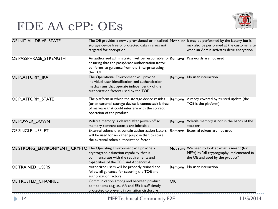### FDE AA cPP: OEs



| OE.INITIAL_DRIVE_STATE                                                | The OE provides a newly provisioned or initialized Not sure It may be performed by the factory but it<br>storage device free of protected data in areas not<br>targeted for encryption              |           | may also be performed at the customer site<br>when an Admin activates drive encryption                                         |
|-----------------------------------------------------------------------|-----------------------------------------------------------------------------------------------------------------------------------------------------------------------------------------------------|-----------|--------------------------------------------------------------------------------------------------------------------------------|
| OE.PASSPHRASE STRENGTH                                                | An authorized administrator will be responsible for Remove Passwords are not used<br>ensuring that the passphrase authorization factor<br>conforms to guidance from the Enterprise using<br>the TOE |           |                                                                                                                                |
| <b>OE.PLATFORM I&amp;A</b>                                            | The Operational Environment will provide<br>individual user identification and authentication<br>mechanisms that operate independently of the<br>authorization factors used by the TOE              |           | Remove No user interaction                                                                                                     |
| OE.PLATFORM_STATE                                                     | The platform in which the storage device resides<br>(or an external storage device is connected) is free<br>of malware that could interfere with the correct<br>operation of the product            | Remove    | Already covered by trusted update (the<br>TOE is the platform)                                                                 |
| OE.POWER_DOWN                                                         | Volatile memory is cleared after power-off so<br>memory remnant attacks are infeasible                                                                                                              |           | Remove Volatile memory is not in the hands of the<br>attacker                                                                  |
| OE.SINGLE USE ET                                                      | External tokens that contain authorization factors<br>will be used for no other purpose than to store<br>the external token authorization factor                                                    |           | Remove External tokens are not used                                                                                            |
| OE.STRONG ENVIRONMENT CRYPTO The Operating Environment will provide a | cryptographic function capability that is<br>commensurate with the requirements and<br>capabilities of the TOE and Appendix A                                                                       |           | Not sure We need to look at what is meant (for<br>MFPs) by "all cryptography implemented in<br>the OE and used by the product" |
| <b>OE.TRAINED USERS</b>                                               | Authorized users will be properly trained and<br>follow all guidance for securing the TOE and<br>authorization factors                                                                              |           | Remove No user interaction                                                                                                     |
| OE.TRUSTED_CHANNEL                                                    | Communication among and between product<br>components (e.g.i.e., AA and EE) is sufficiently<br>protected to prevent information disclosure                                                          | <b>OK</b> |                                                                                                                                |

D.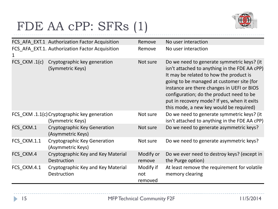# FDE AA cPP: SFRs (1)



|             | FCS AFA EXT.1 Authorization Factor Acquisition                   | Remove                      | No user interaction                                                                                                                                                                                                                                                                                                                                                     |
|-------------|------------------------------------------------------------------|-----------------------------|-------------------------------------------------------------------------------------------------------------------------------------------------------------------------------------------------------------------------------------------------------------------------------------------------------------------------------------------------------------------------|
|             | FCS AFA_EXT.1. Authorization Factor Acquisition                  | Remove                      | No user interaction                                                                                                                                                                                                                                                                                                                                                     |
|             | FCS CKM .1(c) Cryptographic key generation<br>(Symmetric Keys)   | Not sure                    | Do we need to generate symmetric keys? (it<br>isn't attached to anything in the FDE AA cPP)<br>It may be related to how the product is<br>going to be managed at customer site (for<br>instance are there changes in UEFI or BIOS<br>configuration; do the product need to be<br>put in recovery mode? If yes, when it exits<br>this mode, a new key would be required) |
|             | FCS_CKM .1.1(c) Cryptographic key generation<br>(Symmetric Keys) | Not sure                    | Do we need to generate symmetric keys? (it<br>isn't attached to anything in the FDE AA cPP)                                                                                                                                                                                                                                                                             |
| FCS CKM.1   | Cryptographic Key Generation<br>(Asymmetric Keys)                | Not sure                    | Do we need to generate asymmetric keys?                                                                                                                                                                                                                                                                                                                                 |
| FCS CKM.1.1 | Cryptographic Key Generation<br>(Asymmetric Keys)                | Not sure                    | Do we need to generate asymmetric keys?                                                                                                                                                                                                                                                                                                                                 |
| FCS CKM.4   | Cryptographic Key and Key Material<br>Destruction                | Modify or<br>remove         | Do we ever need to destroy keys? (except in<br>the Purge option)                                                                                                                                                                                                                                                                                                        |
| FCS CKM.4.1 | Cryptographic Key and Key Material<br>Destruction                | Modify if<br>not<br>removed | At least remove the requirement for volatile<br>memory clearing                                                                                                                                                                                                                                                                                                         |

D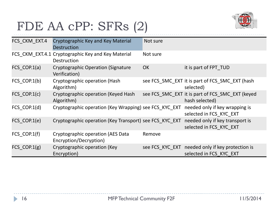### FDE AA cPP: SFRs (2)



| FCS_CKM_EXT.4                 | Cryptographic Key and Key Material<br><b>Destruction</b>                                | Not sure  |                                                                             |
|-------------------------------|-----------------------------------------------------------------------------------------|-----------|-----------------------------------------------------------------------------|
|                               | FCS_CKM_EXT.4.1 Cryptographic Key and Key Material<br><b>Destruction</b>                | Not sure  |                                                                             |
| $FCS$ <sub>_</sub> $COP.1(a)$ | <b>Cryptographic Operation (Signature</b><br>Verification)                              | <b>OK</b> | it is part of FPT_TUD                                                       |
| $FCS$ <sub>_COP.1(b)</sub>    | Cryptographic operation (Hash<br>Algorithm)                                             |           | see FCS_SMC_EXT it is part of FCS_SMC_EXT (hash<br>selected)                |
| FCS_COP.1(c)                  | Cryptographic operation (Keyed Hash<br>Algorithm)                                       |           | see FCS_SMC_EXT it is part of FCS_SMC_EXT (keyed<br>hash selected)          |
| $FCS$ $COP.1(d)$              | Cryptographic operation (Key Wrapping) see FCS_KYC_EXT needed only if key wrapping is   |           | selected in FCS_KYC_EXT                                                     |
| $FCS_COP.1(e)$                | Cryptographic operation (Key Transport) see FCS_KYC_EXT needed only if key transport is |           | selected in FCS_KYC_EXT                                                     |
| $FCS$ $COP.1(f)$              | Cryptographic operation (AES Data<br>Encryption/Decryption)                             | Remove    |                                                                             |
| $FCS$ _COP.1 $(g)$            | Cryptographic operation (Key<br>Encryption)                                             |           | see FCS_KYC_EXT needed only if key protection is<br>selected in FCS KYC EXT |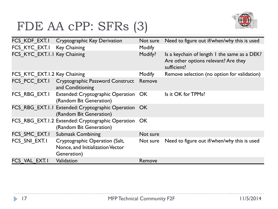### FDE AA cPP: SFRs (3)



|                              | FCS KDF_EXT.1 Cryptographic Key Derivation                                        | Not sure | Need to figure out if/when/why this is used                                                         |
|------------------------------|-----------------------------------------------------------------------------------|----------|-----------------------------------------------------------------------------------------------------|
| FCS KYC EXT.1 Key Chaining   |                                                                                   | Modify   |                                                                                                     |
| FCS KYC EXT.I.I Key Chaining |                                                                                   | Modify?  | Is a keychain of length I the same as a DEK?<br>Are other options relevant? Are they<br>sufficient? |
| FCS KYC EXT.1.2 Key Chaining |                                                                                   | Modify   | Remove selection (no option for validation)                                                         |
|                              | FCS PCC EXT.1 Cryptographic Password Construct<br>and Conditioning                | Remove   |                                                                                                     |
| FCS RBG EXT.I                | Extended: Cryptographic Operation OK<br>(Random Bit Generation)                   |          | Is it OK for TPMs?                                                                                  |
|                              | FCS RBG EXT.I.I Extended: Cryptographic Operation OK<br>(Random Bit Generation)   |          |                                                                                                     |
|                              | FCS_RBG_EXT.1.2 Extended: Cryptographic Operation OK<br>(Random Bit Generation)   |          |                                                                                                     |
| FCS SMC EXT.I                | <b>Submask Combining</b>                                                          | Not sure |                                                                                                     |
| FCS SNI EXT.I                | Cryptographic Operation (Salt,<br>Nonce, and Initialization Vector<br>Generation) | Not sure | Need to figure out if/when/why this is used                                                         |
| FCS VAL EXT.I                | Validation                                                                        | Remove   |                                                                                                     |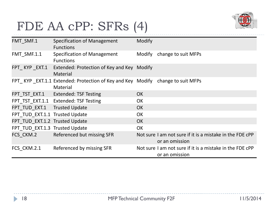### FDE AA cPP: SFRs (4)



| FMT SMF.1                      | Specification of Management<br><b>Functions</b>                                            | Modify    |                                                                            |
|--------------------------------|--------------------------------------------------------------------------------------------|-----------|----------------------------------------------------------------------------|
| FMT_SMF.1.1                    | Specification of Management<br><b>Functions</b>                                            | Modify    | change to suit MFPs                                                        |
| FPT_KYP_EXT.1                  | Extended: Protection of Key and Key Modify<br>Material                                     |           |                                                                            |
|                                | FPT KYP EXT.1.1 Extended: Protection of Key and Key Modify change to suit MFPs<br>Material |           |                                                                            |
|                                | FPT TST EXT.1 Extended: TSF Testing                                                        | <b>OK</b> |                                                                            |
|                                | FPT_TST_EXT.1.1 Extended: TSF Testing                                                      | <b>OK</b> |                                                                            |
| FPT TUD_EXT.1 Trusted Update   |                                                                                            | <b>OK</b> |                                                                            |
| FPT TUD EXT.1.1 Trusted Update |                                                                                            | <b>OK</b> |                                                                            |
| FPT TUD EXT.1.2 Trusted Update |                                                                                            | <b>OK</b> |                                                                            |
| FPT TUD EXT.1.3 Trusted Update |                                                                                            | <b>OK</b> |                                                                            |
|                                | FCS CKM.2 Referenced but missing SFR                                                       |           | Not sure I am not sure if it is a mistake in the FDE cPP<br>or an omission |
| FCS CKM.2.1                    | Referenced by missing SFR                                                                  |           | Not sure I am not sure if it is a mistake in the FDE cPP<br>or an omission |

ь